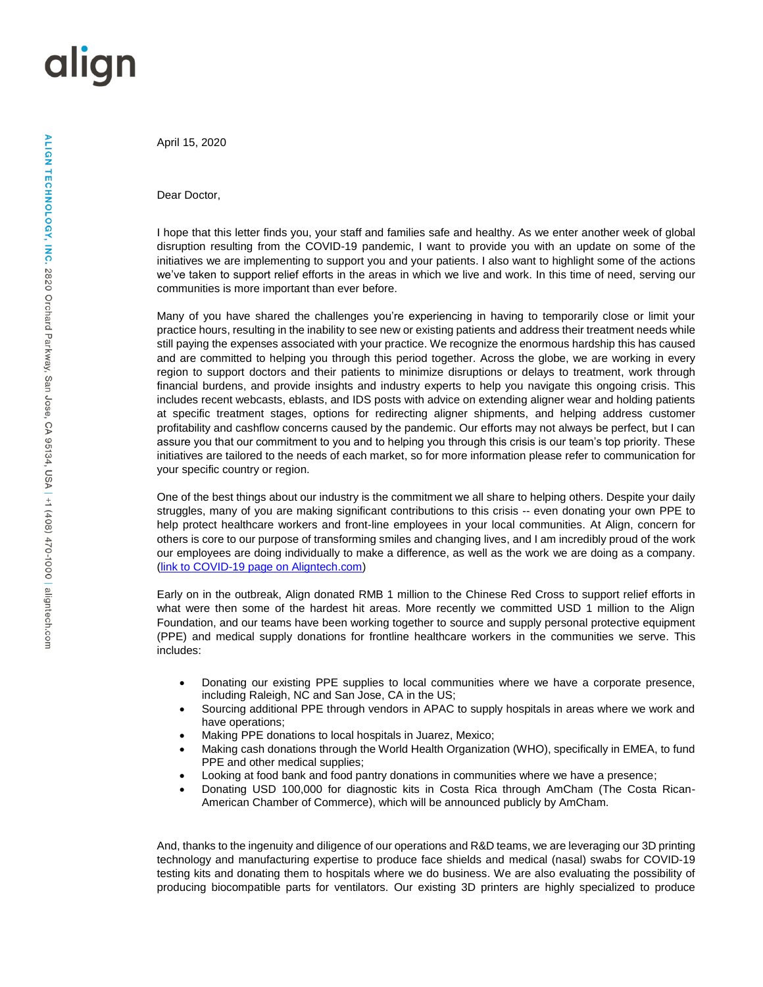## align

April 15, 2020

Dear Doctor,

I hope that this letter finds you, your staff and families safe and healthy. As we enter another week of global disruption resulting from the COVID-19 pandemic, I want to provide you with an update on some of the initiatives we are implementing to support you and your patients. I also want to highlight some of the actions we've taken to support relief efforts in the areas in which we live and work. In this time of need, serving our communities is more important than ever before.

Many of you have shared the challenges you're experiencing in having to temporarily close or limit your practice hours, resulting in the inability to see new or existing patients and address their treatment needs while still paying the expenses associated with your practice. We recognize the enormous hardship this has caused and are committed to helping you through this period together. Across the globe, we are working in every region to support doctors and their patients to minimize disruptions or delays to treatment, work through financial burdens, and provide insights and industry experts to help you navigate this ongoing crisis. This includes recent webcasts, eblasts, and IDS posts with advice on extending aligner wear and holding patients at specific treatment stages, options for redirecting aligner shipments, and helping address customer profitability and cashflow concerns caused by the pandemic. Our efforts may not always be perfect, but I can assure you that our commitment to you and to helping you through this crisis is our team's top priority. These initiatives are tailored to the needs of each market, so for more information please refer to communication for your specific country or region.

One of the best things about our industry is the commitment we all share to helping others. Despite your daily struggles, many of you are making significant contributions to this crisis -- even donating your own PPE to help protect healthcare workers and front-line employees in your local communities. At Align, concern for others is core to our purpose of transforming smiles and changing lives, and I am incredibly proud of the work our employees are doing individually to make a difference, as well as the work we are doing as a company. [\(link to COVID-19 page on Aligntech.com\)](https://www.aligntech.com/covid)

Early on in the outbreak, Align donated RMB 1 million to the Chinese Red Cross to support relief efforts in what were then some of the hardest hit areas. More recently we committed USD 1 million to the Align Foundation, and our teams have been working together to source and supply personal protective equipment (PPE) and medical supply donations for frontline healthcare workers in the communities we serve. This includes:

- Donating our existing PPE supplies to local communities where we have a corporate presence, including Raleigh, NC and San Jose, CA in the US;
- Sourcing additional PPE through vendors in APAC to supply hospitals in areas where we work and have operations;
- Making PPE donations to local hospitals in Juarez, Mexico;
- Making cash donations through the World Health Organization (WHO), specifically in EMEA, to fund PPE and other medical supplies;
- Looking at food bank and food pantry donations in communities where we have a presence;
- Donating USD 100,000 for diagnostic kits in Costa Rica through AmCham (The Costa Rican-American Chamber of Commerce), which will be announced publicly by AmCham.

And, thanks to the ingenuity and diligence of our operations and R&D teams, we are leveraging our 3D printing technology and manufacturing expertise to produce face shields and medical (nasal) swabs for COVID-19 testing kits and donating them to hospitals where we do business. We are also evaluating the possibility of producing biocompatible parts for ventilators. Our existing 3D printers are highly specialized to produce